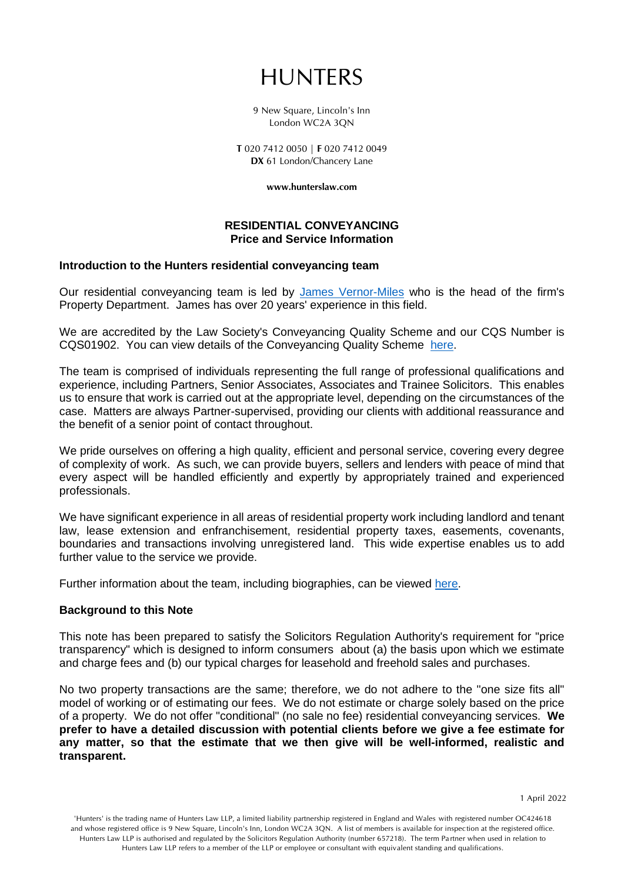# HUNTERS

9 New Square, Lincoln's Inn London WC2A 3QN

T 020 7412 0050 | F 020 7412 0049 DX 61 London/Chancery Lane

www.hunterslaw.com

#### **RESIDENTIAL CONVEYANCING Price and Service Information**

#### **Introduction to the Hunters residential conveyancing team**

Our residential conveyancing team is led by [James Vernor-Miles](https://www.hunterslaw.com/experts/james-vernor-miles/) who is the head of the firm's Property Department. James has over 20 years' experience in this field.

We are accredited by the Law Society's Conveyancing Quality Scheme and our CQS Number is CQS01902. You can view details of the Conveyancing Quality Scheme [here.](https://www.lawsociety.org.uk/support-services/accreditation/conveyancing-quality-scheme/)

The team is comprised of individuals representing the full range of professional qualifications and experience, including Partners, Senior Associates, Associates and Trainee Solicitors. This enables us to ensure that work is carried out at the appropriate level, depending on the circumstances of the case. Matters are always Partner-supervised, providing our clients with additional reassurance and the benefit of a senior point of contact throughout.

We pride ourselves on offering a high quality, efficient and personal service, covering every degree of complexity of work. As such, we can provide buyers, sellers and lenders with peace of mind that every aspect will be handled efficiently and expertly by appropriately trained and experienced professionals.

We have significant experience in all areas of residential property work including landlord and tenant law, lease extension and enfranchisement, residential property taxes, easements, covenants, boundaries and transactions involving unregistered land. This wide expertise enables us to add further value to the service we provide.

Further information about the team, including biographies, can be viewed [here.](https://www.hunterslaw.com/departments/residential-property/)

## **Background to this Note**

This note has been prepared to satisfy the Solicitors Regulation Authority's requirement for "price transparency" which is designed to inform consumers about (a) the basis upon which we estimate and charge fees and (b) our typical charges for leasehold and freehold sales and purchases.

No two property transactions are the same; therefore, we do not adhere to the "one size fits all" model of working or of estimating our fees. We do not estimate or charge solely based on the price of a property. We do not offer "conditional" (no sale no fee) residential conveyancing services. **We prefer to have a detailed discussion with potential clients before we give a fee estimate for any matter, so that the estimate that we then give will be well-informed, realistic and transparent.**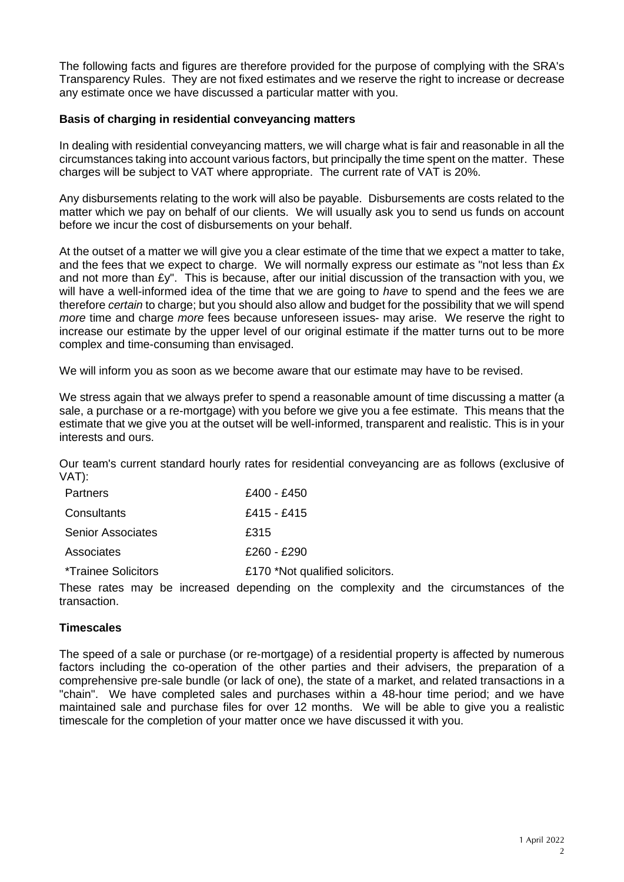The following facts and figures are therefore provided for the purpose of complying with the SRA's Transparency Rules. They are not fixed estimates and we reserve the right to increase or decrease any estimate once we have discussed a particular matter with you.

## **Basis of charging in residential conveyancing matters**

In dealing with residential conveyancing matters, we will charge what is fair and reasonable in all the circumstances taking into account various factors, but principally the time spent on the matter. These charges will be subject to VAT where appropriate. The current rate of VAT is 20%.

Any disbursements relating to the work will also be payable. Disbursements are costs related to the matter which we pay on behalf of our clients. We will usually ask you to send us funds on account before we incur the cost of disbursements on your behalf.

At the outset of a matter we will give you a clear estimate of the time that we expect a matter to take, and the fees that we expect to charge. We will normally express our estimate as "not less than £x and not more than £y". This is because, after our initial discussion of the transaction with you, we will have a well-informed idea of the time that we are going to *have* to spend and the fees we are therefore *certain* to charge; but you should also allow and budget for the possibility that we will spend *more* time and charge *more* fees because unforeseen issues- may arise. We reserve the right to increase our estimate by the upper level of our original estimate if the matter turns out to be more complex and time-consuming than envisaged.

We will inform you as soon as we become aware that our estimate may have to be revised.

We stress again that we always prefer to spend a reasonable amount of time discussing a matter (a sale, a purchase or a re-mortgage) with you before we give you a fee estimate. This means that the estimate that we give you at the outset will be well-informed, transparent and realistic. This is in your interests and ours.

Our team's current standard hourly rates for residential conveyancing are as follows (exclusive of VAT):

| <b>Partners</b>             | £400 - £450                     |
|-----------------------------|---------------------------------|
| Consultants                 | £415 - £415                     |
| <b>Senior Associates</b>    | £315                            |
| Associates                  | £260 - £290                     |
| <i>*</i> Trainee Solicitors | £170 *Not qualified solicitors. |

These rates may be increased depending on the complexity and the circumstances of the transaction.

## **Timescales**

The speed of a sale or purchase (or re-mortgage) of a residential property is affected by numerous factors including the co-operation of the other parties and their advisers, the preparation of a comprehensive pre-sale bundle (or lack of one), the state of a market, and related transactions in a "chain". We have completed sales and purchases within a 48-hour time period; and we have maintained sale and purchase files for over 12 months. We will be able to give you a realistic timescale for the completion of your matter once we have discussed it with you.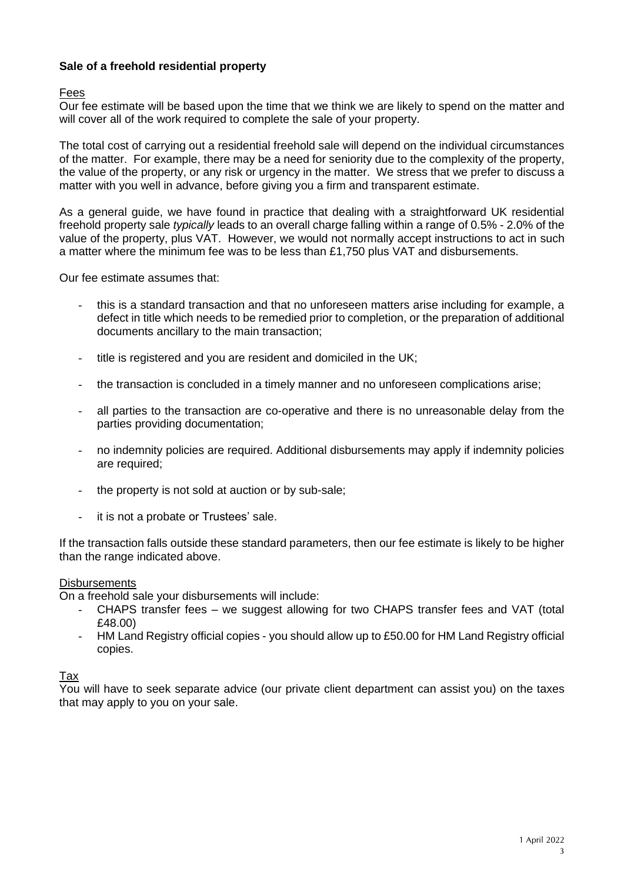# **Sale of a freehold residential property**

## Fees

Our fee estimate will be based upon the time that we think we are likely to spend on the matter and will cover all of the work required to complete the sale of your property.

The total cost of carrying out a residential freehold sale will depend on the individual circumstances of the matter. For example, there may be a need for seniority due to the complexity of the property, the value of the property, or any risk or urgency in the matter. We stress that we prefer to discuss a matter with you well in advance, before giving you a firm and transparent estimate.

As a general guide, we have found in practice that dealing with a straightforward UK residential freehold property sale *typically* leads to an overall charge falling within a range of 0.5% - 2.0% of the value of the property, plus VAT. However, we would not normally accept instructions to act in such a matter where the minimum fee was to be less than £1,750 plus VAT and disbursements.

Our fee estimate assumes that:

- this is a standard transaction and that no unforeseen matters arise including for example, a defect in title which needs to be remedied prior to completion, or the preparation of additional documents ancillary to the main transaction;
- title is registered and you are resident and domiciled in the UK;
- the transaction is concluded in a timely manner and no unforeseen complications arise;
- all parties to the transaction are co-operative and there is no unreasonable delay from the parties providing documentation;
- no indemnity policies are required. Additional disbursements may apply if indemnity policies are required;
- the property is not sold at auction or by sub-sale;
- it is not a probate or Trustees' sale.

If the transaction falls outside these standard parameters, then our fee estimate is likely to be higher than the range indicated above.

#### **Disbursements**

On a freehold sale your disbursements will include:

- CHAPS transfer fees we suggest allowing for two CHAPS transfer fees and VAT (total £48.00)
- HM Land Registry official copies you should allow up to £50.00 for HM Land Registry official copies.

## Tax

You will have to seek separate advice (our private client department can assist you) on the taxes that may apply to you on your sale.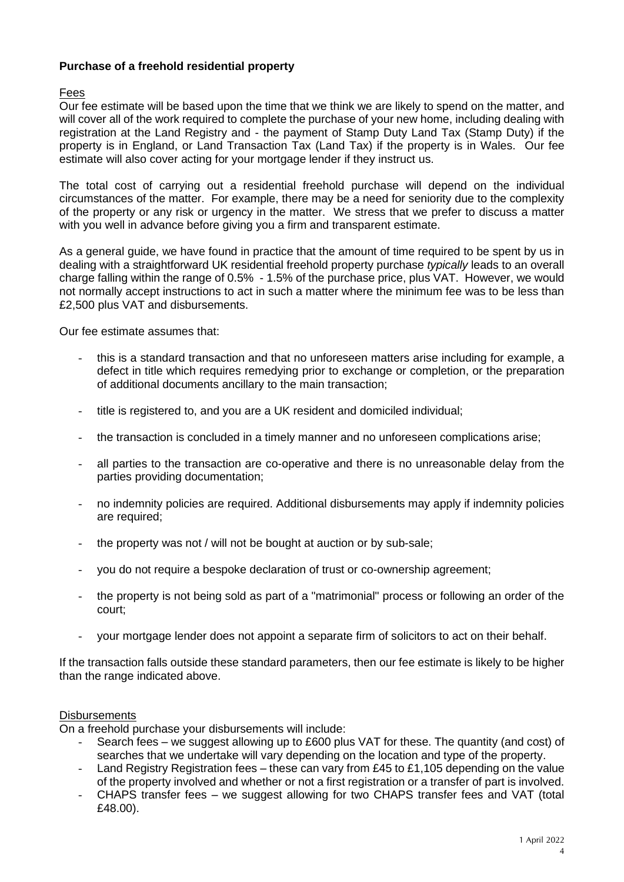# **Purchase of a freehold residential property**

# Fees

Our fee estimate will be based upon the time that we think we are likely to spend on the matter, and will cover all of the work required to complete the purchase of your new home, including dealing with registration at the Land Registry and - the payment of Stamp Duty Land Tax (Stamp Duty) if the property is in England, or Land Transaction Tax (Land Tax) if the property is in Wales. Our fee estimate will also cover acting for your mortgage lender if they instruct us.

The total cost of carrying out a residential freehold purchase will depend on the individual circumstances of the matter. For example, there may be a need for seniority due to the complexity of the property or any risk or urgency in the matter. We stress that we prefer to discuss a matter with you well in advance before giving you a firm and transparent estimate.

As a general guide, we have found in practice that the amount of time required to be spent by us in dealing with a straightforward UK residential freehold property purchase *typically* leads to an overall charge falling within the range of 0.5% - 1.5% of the purchase price, plus VAT. However, we would not normally accept instructions to act in such a matter where the minimum fee was to be less than £2,500 plus VAT and disbursements.

Our fee estimate assumes that:

- this is a standard transaction and that no unforeseen matters arise including for example, a defect in title which requires remedying prior to exchange or completion, or the preparation of additional documents ancillary to the main transaction;
- title is registered to, and you are a UK resident and domiciled individual;
- the transaction is concluded in a timely manner and no unforeseen complications arise;
- all parties to the transaction are co-operative and there is no unreasonable delay from the parties providing documentation;
- no indemnity policies are required. Additional disbursements may apply if indemnity policies are required;
- the property was not / will not be bought at auction or by sub-sale;
- you do not require a bespoke declaration of trust or co-ownership agreement;
- the property is not being sold as part of a "matrimonial" process or following an order of the court;
- your mortgage lender does not appoint a separate firm of solicitors to act on their behalf.

If the transaction falls outside these standard parameters, then our fee estimate is likely to be higher than the range indicated above.

#### **Disbursements**

On a freehold purchase your disbursements will include:

- Search fees we suggest allowing up to £600 plus VAT for these. The quantity (and cost) of searches that we undertake will vary depending on the location and type of the property.
- Land Registry Registration fees these can vary from £45 to £1,105 depending on the value of the property involved and whether or not a first registration or a transfer of part is involved.
- CHAPS transfer fees we suggest allowing for two CHAPS transfer fees and VAT (total £48.00).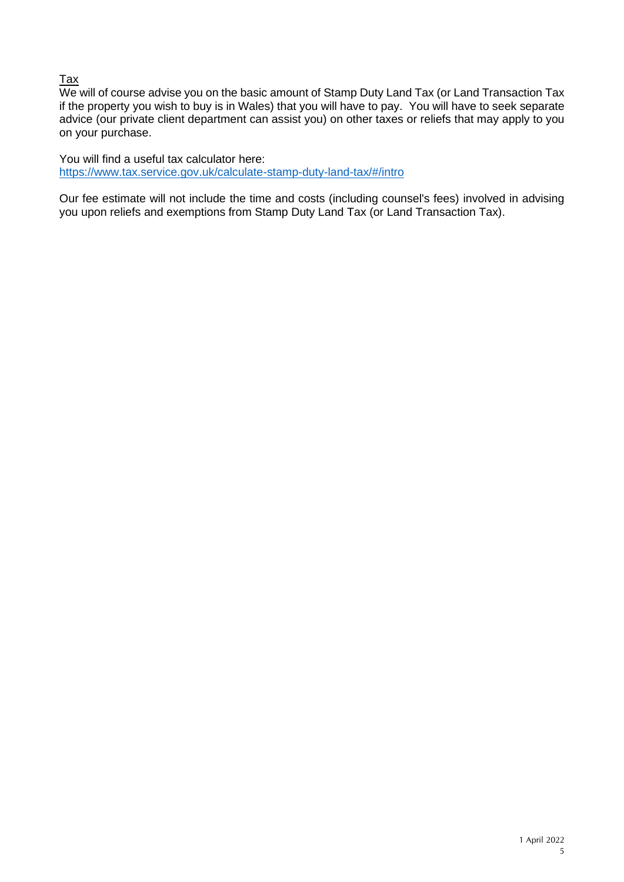# Tax

We will of course advise you on the basic amount of Stamp Duty Land Tax (or Land Transaction Tax if the property you wish to buy is in Wales) that you will have to pay. You will have to seek separate advice (our private client department can assist you) on other taxes or reliefs that may apply to you on your purchase.

You will find a useful tax calculator here: <https://www.tax.service.gov.uk/calculate-stamp-duty-land-tax/#/intro>

Our fee estimate will not include the time and costs (including counsel's fees) involved in advising you upon reliefs and exemptions from Stamp Duty Land Tax (or Land Transaction Tax).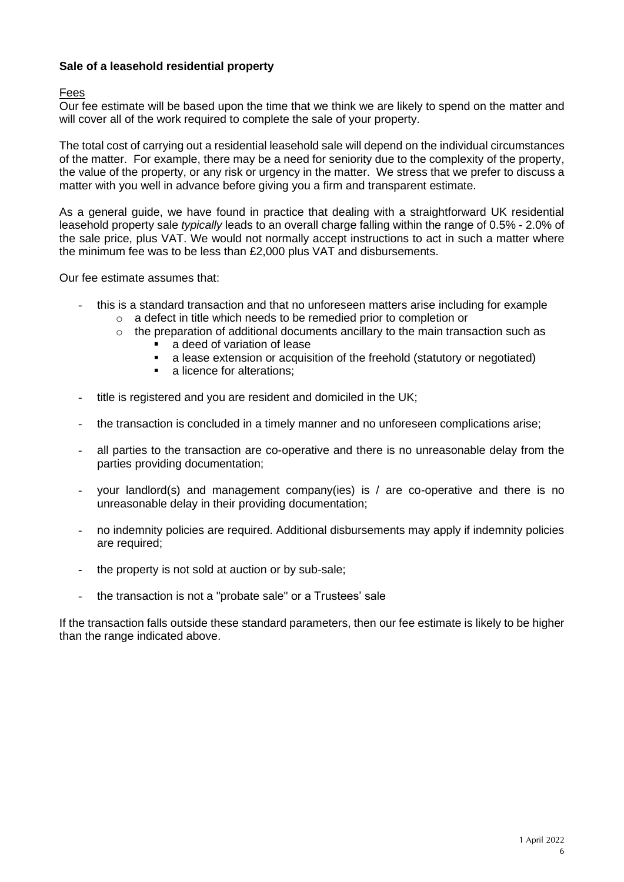# **Sale of a leasehold residential property**

## Fees

Our fee estimate will be based upon the time that we think we are likely to spend on the matter and will cover all of the work required to complete the sale of your property.

The total cost of carrying out a residential leasehold sale will depend on the individual circumstances of the matter. For example, there may be a need for seniority due to the complexity of the property, the value of the property, or any risk or urgency in the matter. We stress that we prefer to discuss a matter with you well in advance before giving you a firm and transparent estimate.

As a general guide, we have found in practice that dealing with a straightforward UK residential leasehold property sale *typically* leads to an overall charge falling within the range of 0.5% - 2.0% of the sale price, plus VAT. We would not normally accept instructions to act in such a matter where the minimum fee was to be less than £2,000 plus VAT and disbursements.

Our fee estimate assumes that:

- this is a standard transaction and that no unforeseen matters arise including for example
	- o a defect in title which needs to be remedied prior to completion or
	- $\circ$  the preparation of additional documents ancillary to the main transaction such as
		- a deed of variation of lease
		- a lease extension or acquisition of the freehold (statutory or negotiated)
		- a licence for alterations:
- title is registered and you are resident and domiciled in the UK;
- the transaction is concluded in a timely manner and no unforeseen complications arise;
- all parties to the transaction are co-operative and there is no unreasonable delay from the parties providing documentation;
- your landlord(s) and management company(ies) is / are co-operative and there is no unreasonable delay in their providing documentation;
- no indemnity policies are required. Additional disbursements may apply if indemnity policies are required;
- the property is not sold at auction or by sub-sale;
- the transaction is not a "probate sale" or a Trustees' sale

If the transaction falls outside these standard parameters, then our fee estimate is likely to be higher than the range indicated above.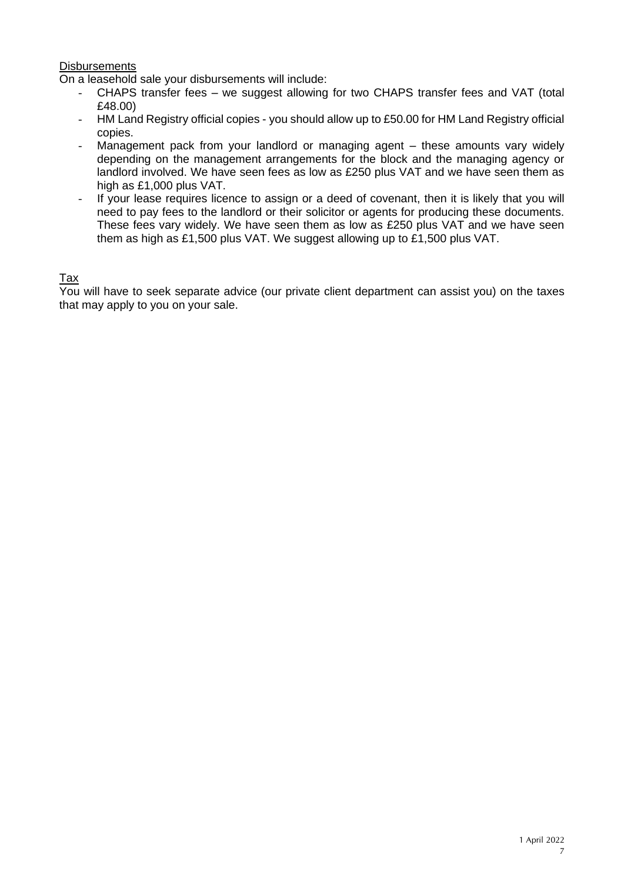## **Disbursements**

On a leasehold sale your disbursements will include:

- CHAPS transfer fees we suggest allowing for two CHAPS transfer fees and VAT (total £48.00)
- HM Land Registry official copies you should allow up to £50.00 for HM Land Registry official copies.
- Management pack from your landlord or managing agent these amounts vary widely depending on the management arrangements for the block and the managing agency or landlord involved. We have seen fees as low as £250 plus VAT and we have seen them as high as £1,000 plus VAT.
- If your lease requires licence to assign or a deed of covenant, then it is likely that you will need to pay fees to the landlord or their solicitor or agents for producing these documents. These fees vary widely. We have seen them as low as £250 plus VAT and we have seen them as high as £1,500 plus VAT. We suggest allowing up to £1,500 plus VAT.

## Tax

You will have to seek separate advice (our private client department can assist you) on the taxes that may apply to you on your sale.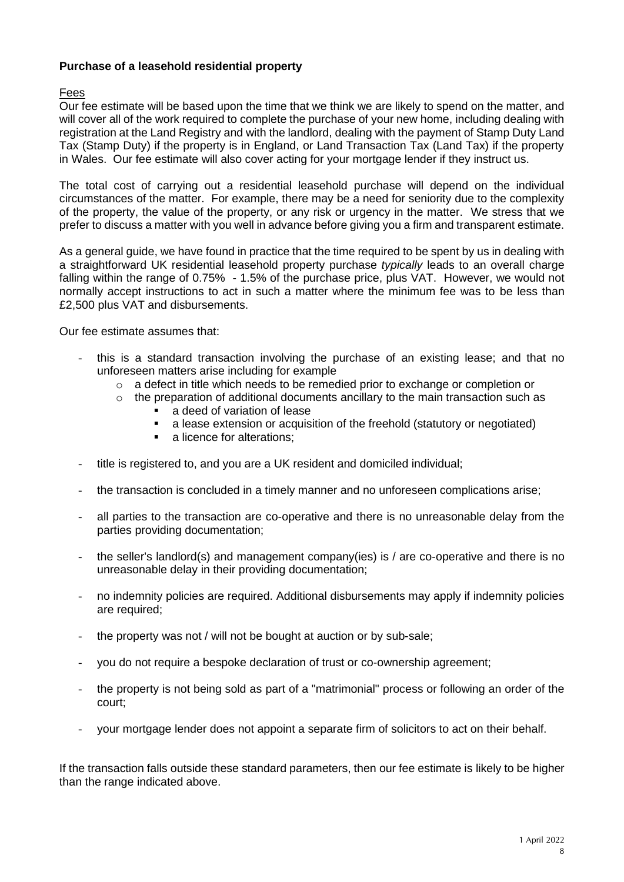# **Purchase of a leasehold residential property**

# Fees

Our fee estimate will be based upon the time that we think we are likely to spend on the matter, and will cover all of the work required to complete the purchase of your new home, including dealing with registration at the Land Registry and with the landlord, dealing with the payment of Stamp Duty Land Tax (Stamp Duty) if the property is in England, or Land Transaction Tax (Land Tax) if the property in Wales. Our fee estimate will also cover acting for your mortgage lender if they instruct us.

The total cost of carrying out a residential leasehold purchase will depend on the individual circumstances of the matter. For example, there may be a need for seniority due to the complexity of the property, the value of the property, or any risk or urgency in the matter. We stress that we prefer to discuss a matter with you well in advance before giving you a firm and transparent estimate.

As a general guide, we have found in practice that the time required to be spent by us in dealing with a straightforward UK residential leasehold property purchase *typically* leads to an overall charge falling within the range of 0.75% - 1.5% of the purchase price, plus VAT. However, we would not normally accept instructions to act in such a matter where the minimum fee was to be less than £2,500 plus VAT and disbursements.

Our fee estimate assumes that:

- this is a standard transaction involving the purchase of an existing lease; and that no unforeseen matters arise including for example
	- $\circ$  a defect in title which needs to be remedied prior to exchange or completion or
	- $\circ$  the preparation of additional documents ancillary to the main transaction such as
		- a deed of variation of lease
		- a lease extension or acquisition of the freehold (statutory or negotiated)
		- a licence for alterations:
- title is registered to, and you are a UK resident and domiciled individual;
- the transaction is concluded in a timely manner and no unforeseen complications arise;
- all parties to the transaction are co-operative and there is no unreasonable delay from the parties providing documentation;
- the seller's landlord(s) and management company(ies) is  $/$  are co-operative and there is no unreasonable delay in their providing documentation;
- no indemnity policies are required. Additional disbursements may apply if indemnity policies are required;
- the property was not / will not be bought at auction or by sub-sale;
- you do not require a bespoke declaration of trust or co-ownership agreement;
- the property is not being sold as part of a "matrimonial" process or following an order of the court;
- your mortgage lender does not appoint a separate firm of solicitors to act on their behalf.

If the transaction falls outside these standard parameters, then our fee estimate is likely to be higher than the range indicated above.